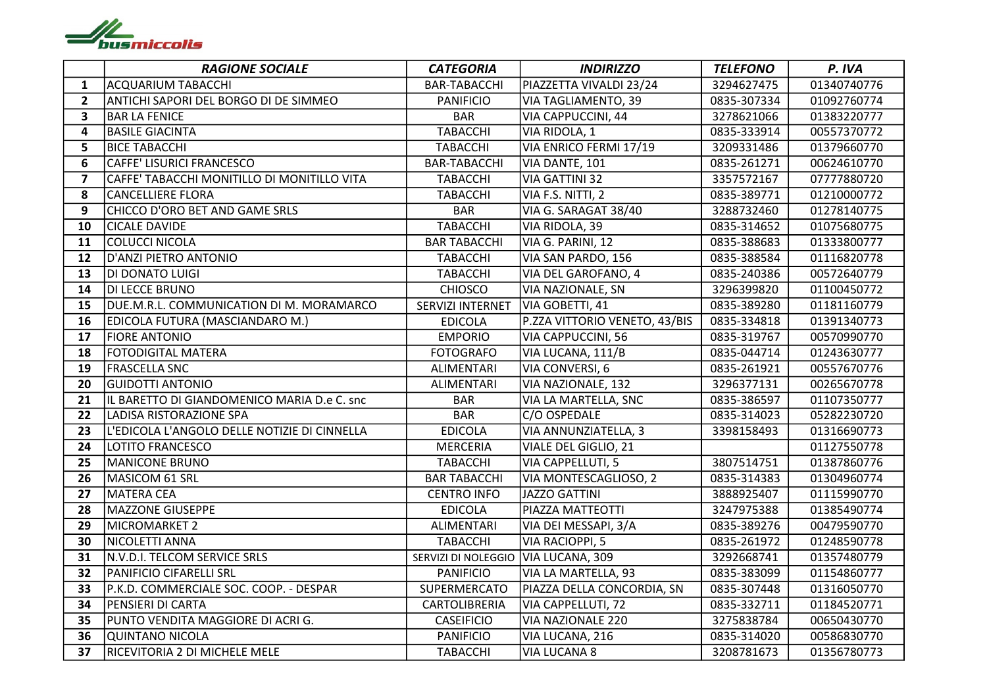

|                | <b>RAGIONE SOCIALE</b>                       | <b>CATEGORIA</b>                    | <b>INDIRIZZO</b>              | <b>TELEFONO</b> | P. IVA      |
|----------------|----------------------------------------------|-------------------------------------|-------------------------------|-----------------|-------------|
| $\mathbf{1}$   | <b>ACQUARIUM TABACCHI</b>                    | <b>BAR-TABACCHI</b>                 | PIAZZETTA VIVALDI 23/24       | 3294627475      | 01340740776 |
| $\overline{2}$ | ANTICHI SAPORI DEL BORGO DI DE SIMMEO        | <b>PANIFICIO</b>                    | VIA TAGLIAMENTO, 39           | 0835-307334     | 01092760774 |
| $\mathbf{3}$   | <b>BAR LA FENICE</b>                         | <b>BAR</b>                          | VIA CAPPUCCINI, 44            | 3278621066      | 01383220777 |
| 4              | <b>BASILE GIACINTA</b>                       | <b>TABACCHI</b>                     | VIA RIDOLA, 1                 | 0835-333914     | 00557370772 |
| 5              | <b>BICE TABACCHI</b>                         | <b>TABACCHI</b>                     | VIA ENRICO FERMI 17/19        | 3209331486      | 01379660770 |
| 6              | CAFFE' LISURICI FRANCESCO                    | <b>BAR-TABACCHI</b>                 | VIA DANTE, 101                | 0835-261271     | 00624610770 |
| $\overline{7}$ | CAFFE' TABACCHI MONITILLO DI MONITILLO VITA  | <b>TABACCHI</b>                     | VIA GATTINI 32                | 3357572167      | 07777880720 |
| 8              | CANCELLIERE FLORA                            | <b>TABACCHI</b>                     | VIA F.S. NITTI, 2             | 0835-389771     | 01210000772 |
| 9              | CHICCO D'ORO BET AND GAME SRLS               | <b>BAR</b>                          | VIA G. SARAGAT 38/40          | 3288732460      | 01278140775 |
| 10             | <b>CICALE DAVIDE</b>                         | <b>TABACCHI</b>                     | VIA RIDOLA, 39                | 0835-314652     | 01075680775 |
| 11             | COLUCCI NICOLA                               | <b>BAR TABACCHI</b>                 | VIA G. PARINI, 12             | 0835-388683     | 01333800777 |
| 12             | D'ANZI PIETRO ANTONIO                        | <b>TABACCHI</b>                     | VIA SAN PARDO, 156            | 0835-388584     | 01116820778 |
| 13             | DI DONATO LUIGI                              | <b>TABACCHI</b>                     | VIA DEL GAROFANO, 4           | 0835-240386     | 00572640779 |
| 14             | DI LECCE BRUNO                               | <b>CHIOSCO</b>                      | VIA NAZIONALE, SN             | 3296399820      | 01100450772 |
| 15             | DUE.M.R.L. COMMUNICATION DI M. MORAMARCO     | SERVIZI INTERNET                    | VIA GOBETTI, 41               | 0835-389280     | 01181160779 |
| 16             | EDICOLA FUTURA (MASCIANDARO M.)              | <b>EDICOLA</b>                      | P.ZZA VITTORIO VENETO, 43/BIS | 0835-334818     | 01391340773 |
| 17             | <b>FIORE ANTONIO</b>                         | <b>EMPORIO</b>                      | VIA CAPPUCCINI, 56            | 0835-319767     | 00570990770 |
| 18             | FOTODIGITAL MATERA                           | <b>FOTOGRAFO</b>                    | VIA LUCANA, 111/B             | 0835-044714     | 01243630777 |
| 19             | <b>FRASCELLA SNC</b>                         | ALIMENTARI                          | VIA CONVERSI, 6               | 0835-261921     | 00557670776 |
| 20             | <b>GUIDOTTI ANTONIO</b>                      | <b>ALIMENTARI</b>                   | VIA NAZIONALE, 132            | 3296377131      | 00265670778 |
| 21             | IL BARETTO DI GIANDOMENICO MARIA D.e C. snc  | <b>BAR</b>                          | VIA LA MARTELLA, SNC          | 0835-386597     | 01107350777 |
| 22             | LADISA RISTORAZIONE SPA                      | <b>BAR</b>                          | C/O OSPEDALE                  | 0835-314023     | 05282230720 |
| 23             | L'EDICOLA L'ANGOLO DELLE NOTIZIE DI CINNELLA | <b>EDICOLA</b>                      | VIA ANNUNZIATELLA, 3          | 3398158493      | 01316690773 |
| 24             | LOTITO FRANCESCO                             | <b>MERCERIA</b>                     | VIALE DEL GIGLIO, 21          |                 | 01127550778 |
| 25             | MANICONE BRUNO                               | <b>TABACCHI</b>                     | VIA CAPPELLUTI, 5             | 3807514751      | 01387860776 |
| 26             | MASICOM 61 SRL                               | <b>BAR TABACCHI</b>                 | VIA MONTESCAGLIOSO, 2         | 0835-314383     | 01304960774 |
| 27             | MATERA CEA                                   | <b>CENTRO INFO</b>                  | JAZZO GATTINI                 | 3888925407      | 01115990770 |
| 28             | MAZZONE GIUSEPPE                             | <b>EDICOLA</b>                      | PIAZZA MATTEOTTI              | 3247975388      | 01385490774 |
| 29             | MICROMARKET 2                                | <b>ALIMENTARI</b>                   | VIA DEI MESSAPI, 3/A          | 0835-389276     | 00479590770 |
| 30             | NICOLETTI ANNA                               | <b>TABACCHI</b>                     | VIA RACIOPPI, 5               | 0835-261972     | 01248590778 |
| 31             | N.V.D.I. TELCOM SERVICE SRLS                 | SERVIZI DI NOLEGGIO VIA LUCANA, 309 |                               | 3292668741      | 01357480779 |
| 32             | <b>PANIFICIO CIFARELLI SRL</b>               | <b>PANIFICIO</b>                    | VIA LA MARTELLA, 93           | 0835-383099     | 01154860777 |
| 33             | P.K.D. COMMERCIALE SOC. COOP. - DESPAR       | SUPERMERCATO                        | PIAZZA DELLA CONCORDIA, SN    | 0835-307448     | 01316050770 |
| 34             | PENSIERI DI CARTA                            | CARTOLIBRERIA                       | VIA CAPPELLUTI, 72            | 0835-332711     | 01184520771 |
| 35             | PUNTO VENDITA MAGGIORE DI ACRI G.            | <b>CASEIFICIO</b>                   | VIA NAZIONALE 220             | 3275838784      | 00650430770 |
| 36             | <b>QUINTANO NICOLA</b>                       | <b>PANIFICIO</b>                    | VIA LUCANA, 216               | 0835-314020     | 00586830770 |
| 37             | RICEVITORIA 2 DI MICHELE MELE                | <b>TABACCHI</b>                     | VIA LUCANA 8                  | 3208781673      | 01356780773 |